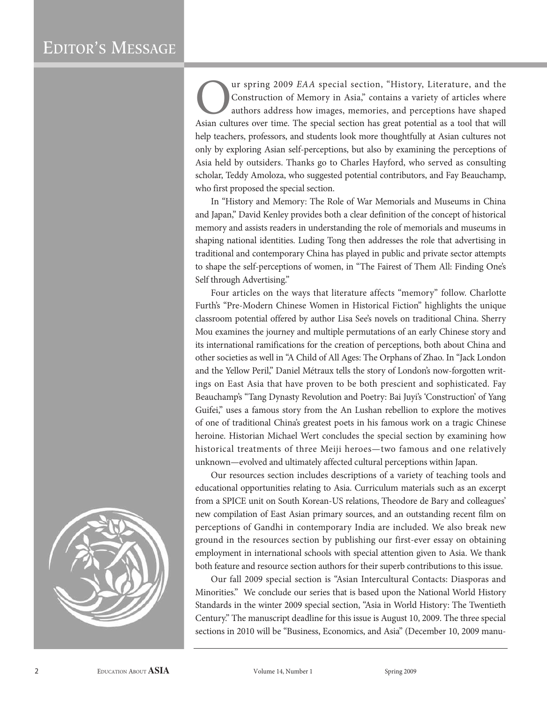## EDITOR'S MESSAGE

ur spring 2009 EAA special section, "History, Literature, and the Construction of Memory in Asia," contains a variety of articles where authors address how images, memories, and perceptions have shaped Asian cultures over time. The special section has great potential as a tool that will help teachers, professors, and students look more thoughtfully at Asian cultures not only by exploring Asian self-perceptions, but also by examining the perceptions of Asia held by outsiders. Thanks go to Charles Hayford, who served as consulting scholar, Teddy Amoloza, who suggested potential contributors, and Fay Beauchamp, who first proposed the special section.

In "History and Memory: The Role of War Memorials and Museums in China and Japan," David Kenley provides both a clear definition of the concept of historical memory and assists readers in understanding the role of memorials and museums in shaping national identities. Luding Tong then addresses the role that advertising in traditional and contemporary China has played in public and private sector attempts to shape the self-perceptions of women, in "The Fairest of Them All: Finding One's Self through Advertising."

Four articles on the ways that literature affects "memory" follow. Charlotte Furth's "Pre-Modern Chinese Women in Historical Fiction" highlights the unique classroom potential offered by author Lisa See's novels on traditional China. Sherry Mou examines the journey and multiple permutations of an early Chinese story and its international ramifications for the creation of perceptions, both about China and other societies as well in "A Child of All Ages: The Orphans of Zhao. In "Jack London and the Yellow Peril," Daniel Métraux tells the story of London's now-forgotten writings on East Asia that have proven to be both prescient and sophisticated. Fay Beauchamp's "Tang Dynasty Revolution and Poetry: Bai Juyi's 'Construction' of Yang Guifei," uses a famous story from the An Lushan rebellion to explore the motives of one of traditional China's greatest poets in his famous work on a tragic Chinese heroine. Historian Michael Wert concludes the special section by examining how historical treatments of three Meiji heroes—two famous and one relatively unknown—evolved and ultimately affected cultural perceptions within Japan.

Our resources section includes descriptions of a variety of teaching tools and educational opportunities relating to Asia. Curriculum materials such as an excerpt from a SPICE unit on South Korean-US relations, Theodore de Bary and colleagues' new compilation of East Asian primary sources, and an outstanding recent film on perceptions of Gandhi in contemporary India are included. We also break new ground in the resources section by publishing our first-ever essay on obtaining employment in international schools with special attention given to Asia. We thank both feature and resource section authors for their superb contributions to this issue.

Our fall 2009 special section is "Asian Intercultural Contacts: Diasporas and Minorities." We conclude our series that is based upon the National World History Standards in the winter 2009 special section, "Asia in World History: The Twentieth Century." The manuscript deadline for this issue is August 10, 2009. The three special sections in 2010 will be "Business, Economics, and Asia" (December 10, 2009 manu-